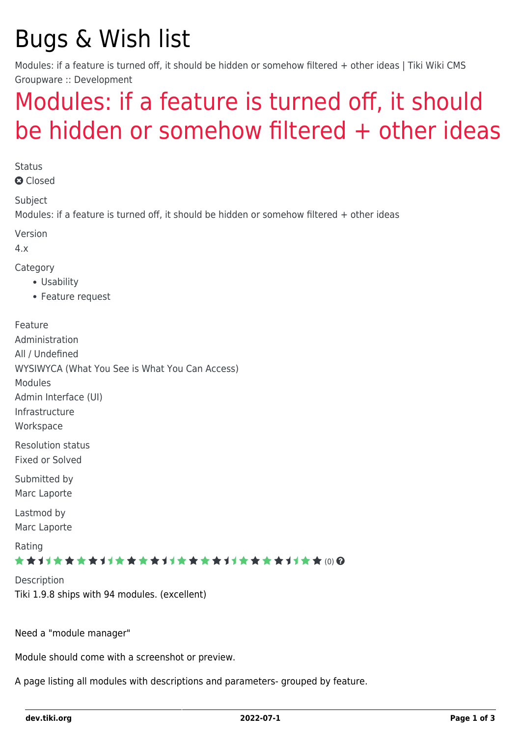# Bugs & Wish list

Modules: if a feature is turned off, it should be hidden or somehow filtered + other ideas | Tiki Wiki CMS Groupware :: Development

## [Modules: if a feature is turned off, it should](https://dev.tiki.org/item1294-Modules-if-a-feature-is-turned-off-it-should-be-hidden-or-somehow-filtered-other-ideas) [be hidden or somehow filtered + other ideas](https://dev.tiki.org/item1294-Modules-if-a-feature-is-turned-off-it-should-be-hidden-or-somehow-filtered-other-ideas)

**Status a** Closed

Subject

Modules: if a feature is turned off, it should be hidden or somehow filtered + other ideas

Version

4.x

Category

- Usability
- Feature request

Feature Administration All / Undefined WYSIWYCA (What You See is What You Can Access) Modules Admin Interface (UI) Infrastructure **Workspace** Resolution status Fixed or Solved Submitted by Marc Laporte Lastmod by

Marc Laporte

Rating

#### \*\*\*\*\*\*\*\*\*\*\*\*\*\*\*\*\*\*\*\*\*\*\*\*\*\*\*\*\*\*

**Description** Tiki 1.9.8 ships with 94 modules. (excellent)

Need a "module manager"

Module should come with a screenshot or preview.

A page listing all modules with descriptions and parameters- grouped by feature.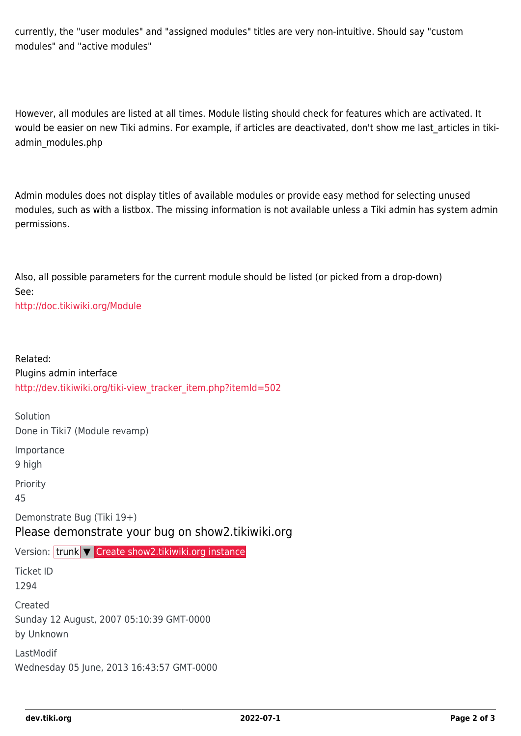currently, the "user modules" and "assigned modules" titles are very non-intuitive. Should say "custom modules" and "active modules"

However, all modules are listed at all times. Module listing should check for features which are activated. It would be easier on new Tiki admins. For example, if articles are deactivated, don't show me last\_articles in tikiadmin\_modules.php

Admin modules does not display titles of available modules or provide easy method for selecting unused modules, such as with a listbox. The missing information is not available unless a Tiki admin has system admin permissions.

Also, all possible parameters for the current module should be listed (or picked from a drop-down) See:

<http://doc.tikiwiki.org/Module>

Related: Plugins admin interface [http://dev.tikiwiki.org/tiki-view\\_tracker\\_item.php?itemId=502](http://dev.tikiwiki.org/tiki-view_tracker_item.php?itemId=502)

Solution Done in Tiki7 (Module revamp) Importance 9 high Priority 45 Demonstrate Bug (Tiki 19+) Please demonstrate your bug on show2.tikiwiki.org Version: trunk ▼ [Create show2.tikiwiki.org instance](#page--1-0) Ticket ID 1294 Created Sunday 12 August, 2007 05:10:39 GMT-0000

by Unknown

LastModif Wednesday 05 June, 2013 16:43:57 GMT-0000